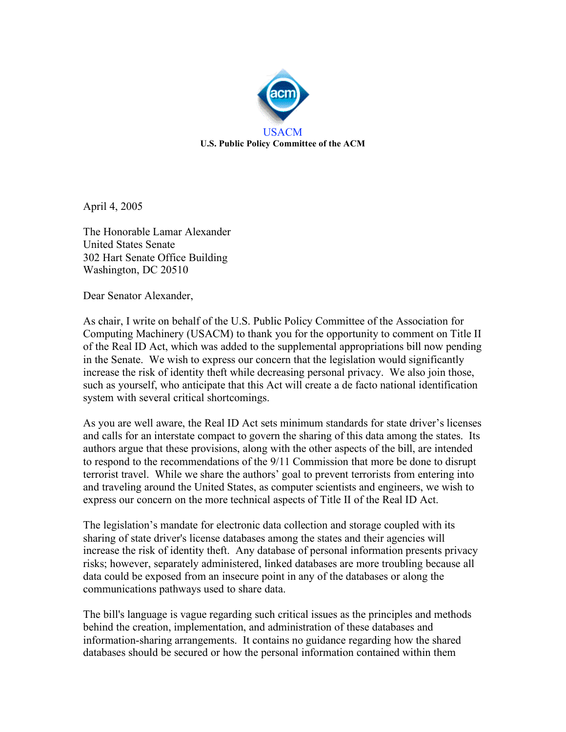

April 4, 2005

The Honorable Lamar Alexander United States Senate 302 Hart Senate Office Building Washington, DC 20510

Dear Senator Alexander,

As chair, I write on behalf of the U.S. Public Policy Committee of the Association for Computing Machinery (USACM) to thank you for the opportunity to comment on Title II of the Real ID Act, which was added to the supplemental appropriations bill now pending in the Senate. We wish to express our concern that the legislation would significantly increase the risk of identity theft while decreasing personal privacy. We also join those, such as yourself, who anticipate that this Act will create a de facto national identification system with several critical shortcomings.

As you are well aware, the Real ID Act sets minimum standards for state driver's licenses and calls for an interstate compact to govern the sharing of this data among the states. Its authors argue that these provisions, along with the other aspects of the bill, are intended to respond to the recommendations of the 9/11 Commission that more be done to disrupt terrorist travel. While we share the authors' goal to prevent terrorists from entering into and traveling around the United States, as computer scientists and engineers, we wish to express our concern on the more technical aspects of Title II of the Real ID Act.

The legislation's mandate for electronic data collection and storage coupled with its sharing of state driver's license databases among the states and their agencies will increase the risk of identity theft. Any database of personal information presents privacy risks; however, separately administered, linked databases are more troubling because all data could be exposed from an insecure point in any of the databases or along the communications pathways used to share data.

The bill's language is vague regarding such critical issues as the principles and methods behind the creation, implementation, and administration of these databases and information-sharing arrangements. It contains no guidance regarding how the shared databases should be secured or how the personal information contained within them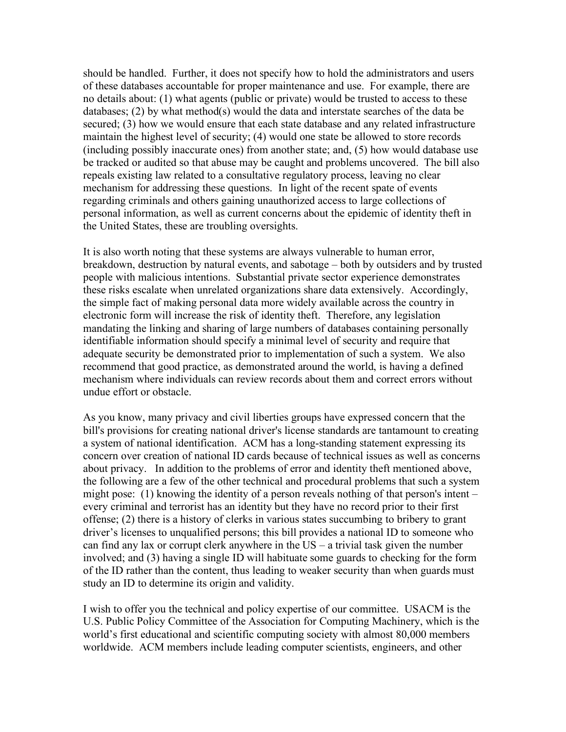should be handled. Further, it does not specify how to hold the administrators and users of these databases accountable for proper maintenance and use. For example, there are no details about: (1) what agents (public or private) would be trusted to access to these databases; (2) by what method(s) would the data and interstate searches of the data be secured; (3) how we would ensure that each state database and any related infrastructure maintain the highest level of security; (4) would one state be allowed to store records (including possibly inaccurate ones) from another state; and, (5) how would database use be tracked or audited so that abuse may be caught and problems uncovered. The bill also repeals existing law related to a consultative regulatory process, leaving no clear mechanism for addressing these questions. In light of the recent spate of events regarding criminals and others gaining unauthorized access to large collections of personal information, as well as current concerns about the epidemic of identity theft in the United States, these are troubling oversights.

It is also worth noting that these systems are always vulnerable to human error, breakdown, destruction by natural events, and sabotage – both by outsiders and by trusted people with malicious intentions. Substantial private sector experience demonstrates these risks escalate when unrelated organizations share data extensively. Accordingly, the simple fact of making personal data more widely available across the country in electronic form will increase the risk of identity theft. Therefore, any legislation mandating the linking and sharing of large numbers of databases containing personally identifiable information should specify a minimal level of security and require that adequate security be demonstrated prior to implementation of such a system. We also recommend that good practice, as demonstrated around the world, is having a defined mechanism where individuals can review records about them and correct errors without undue effort or obstacle.

As you know, many privacy and civil liberties groups have expressed concern that the bill's provisions for creating national driver's license standards are tantamount to creating a system of national identification. ACM has a long-standing statement expressing its concern over creation of national ID cards because of technical issues as well as concerns about privacy. In addition to the problems of error and identity theft mentioned above, the following are a few of the other technical and procedural problems that such a system might pose: (1) knowing the identity of a person reveals nothing of that person's intent – every criminal and terrorist has an identity but they have no record prior to their first offense; (2) there is a history of clerks in various states succumbing to bribery to grant driver's licenses to unqualified persons; this bill provides a national ID to someone who can find any lax or corrupt clerk anywhere in the US – a trivial task given the number involved; and (3) having a single ID will habituate some guards to checking for the form of the ID rather than the content, thus leading to weaker security than when guards must study an ID to determine its origin and validity.

I wish to offer you the technical and policy expertise of our committee. USACM is the U.S. Public Policy Committee of the Association for Computing Machinery, which is the world's first educational and scientific computing society with almost 80,000 members worldwide. ACM members include leading computer scientists, engineers, and other